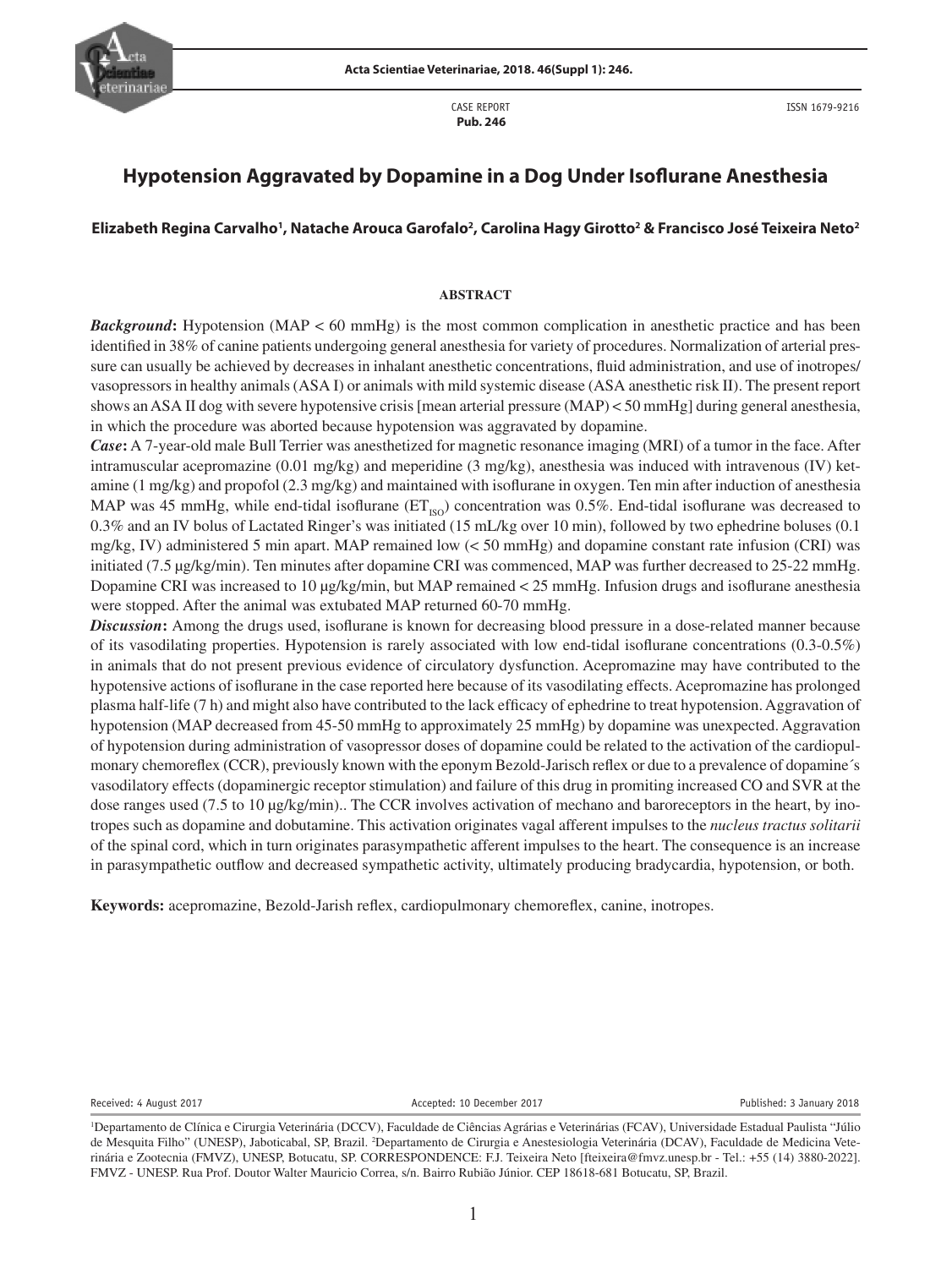

CASE REPORT  **Pub. 246**

ISSN 1679-9216

# **Hypotension Aggravated by Dopamine in a Dog Under Isoflurane Anesthesia**

# **Elizabeth Regina Carvalho1 , Natache Arouca Garofalo2 , Carolina Hagy Girotto2 & Francisco José Teixeira Neto2**

#### **ABSTRACT**

*Background*: Hypotension (MAP < 60 mmHg) is the most common complication in anesthetic practice and has been identified in 38% of canine patients undergoing general anesthesia for variety of procedures. Normalization of arterial pressure can usually be achieved by decreases in inhalant anesthetic concentrations, fluid administration, and use of inotropes/ vasopressors in healthy animals (ASA I) or animals with mild systemic disease (ASA anesthetic risk II). The present report shows an ASA II dog with severe hypotensive crisis [mean arterial pressure  $(MAP) < 50$  mmHg] during general anesthesia, in which the procedure was aborted because hypotension was aggravated by dopamine.

*Case***:** A 7-year-old male Bull Terrier was anesthetized for magnetic resonance imaging (MRI) of a tumor in the face. After intramuscular acepromazine (0.01 mg/kg) and meperidine (3 mg/kg), anesthesia was induced with intravenous (IV) ketamine (1 mg/kg) and propofol (2.3 mg/kg) and maintained with isoflurane in oxygen. Ten min after induction of anesthesia MAP was 45 mmHg, while end-tidal isoflurane ( $ET_{ISO}$ ) concentration was 0.5%. End-tidal isoflurane was decreased to 0.3% and an IV bolus of Lactated Ringer's was initiated (15 mL/kg over 10 min), followed by two ephedrine boluses (0.1 mg/kg, IV) administered 5 min apart. MAP remained low (< 50 mmHg) and dopamine constant rate infusion (CRI) was initiated (7.5 μg/kg/min). Ten minutes after dopamine CRI was commenced, MAP was further decreased to 25-22 mmHg. Dopamine CRI was increased to 10 μg/kg/min, but MAP remained < 25 mmHg. Infusion drugs and isoflurane anesthesia were stopped. After the animal was extubated MAP returned 60-70 mmHg.

*Discussion***:** Among the drugs used, isoflurane is known for decreasing blood pressure in a dose-related manner because of its vasodilating properties. Hypotension is rarely associated with low end-tidal isoflurane concentrations (0.3-0.5%) in animals that do not present previous evidence of circulatory dysfunction. Acepromazine may have contributed to the hypotensive actions of isoflurane in the case reported here because of its vasodilating effects. Acepromazine has prolonged plasma half-life (7 h) and might also have contributed to the lack efficacy of ephedrine to treat hypotension. Aggravation of hypotension (MAP decreased from 45-50 mmHg to approximately 25 mmHg) by dopamine was unexpected. Aggravation of hypotension during administration of vasopressor doses of dopamine could be related to the activation of the cardiopulmonary chemoreflex (CCR), previously known with the eponym Bezold-Jarisch reflex or due to a prevalence of dopamine's vasodilatory effects (dopaminergic receptor stimulation) and failure of this drug in promiting increased CO and SVR at the dose ranges used (7.5 to 10 μg/kg/min).. The CCR involves activation of mechano and baroreceptors in the heart, by inotropes such as dopamine and dobutamine. This activation originates vagal afferent impulses to the *nucleus tractus solitarii* of the spinal cord, which in turn originates parasympathetic afferent impulses to the heart. The consequence is an increase in parasympathetic outflow and decreased sympathetic activity, ultimately producing bradycardia, hypotension, or both.

**Keywords:** acepromazine, Bezold-Jarish reflex, cardiopulmonary chemoreflex, canine, inotropes.

Received: 4 August 2017 **Accepted: 10 December 2017** Accepted: 10 December 2017

<sup>1</sup> Departamento de Clínica e Cirurgia Veterinária (DCCV), Faculdade de Ciências Agrárias e Veterinárias (FCAV), Universidade Estadual Paulista "Júlio de Mesquita Filho" (UNESP), Jaboticabal, SP, Brazil. <sup>2</sup>Departamento de Cirurgia e Anestesiologia Veterinária (DCAV), Faculdade de Medicina Veterinária e Zootecnia (FMVZ), UNESP, Botucatu, SP. CORRESPONDENCE: F.J. Teixeira Neto [fteixeira@fmvz.unesp.br - Tel.: +55 (14) 3880-2022]. FMVZ - UNESP. Rua Prof. Doutor Walter Mauricio Correa, s/n. Bairro Rubião Júnior. CEP 18618-681 Botucatu, SP, Brazil.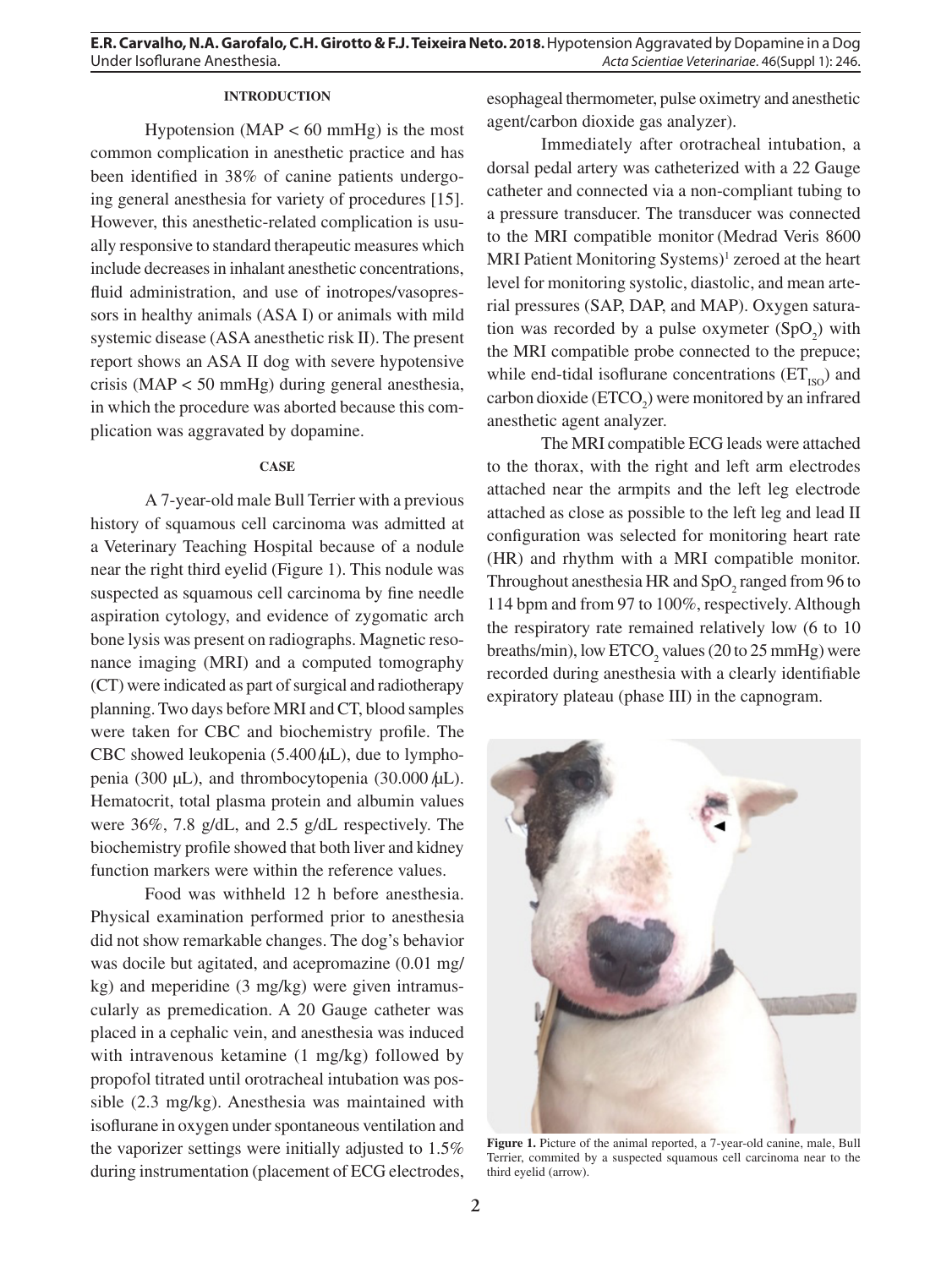# **INTRODUCTION**

Hypotension ( $MAP < 60$  mmHg) is the most common complication in anesthetic practice and has been identified in 38% of canine patients undergoing general anesthesia for variety of procedures [15]. However, this anesthetic-related complication is usually responsive to standard therapeutic measures which include decreases in inhalant anesthetic concentrations, fluid administration, and use of inotropes/vasopressors in healthy animals (ASA I) or animals with mild systemic disease (ASA anesthetic risk II). The present report shows an ASA II dog with severe hypotensive crisis (MAP < 50 mmHg) during general anesthesia, in which the procedure was aborted because this complication was aggravated by dopamine.

#### **CASE**

A 7-year-old male Bull Terrier with a previous history of squamous cell carcinoma was admitted at a Veterinary Teaching Hospital because of a nodule near the right third eyelid (Figure 1). This nodule was suspected as squamous cell carcinoma by fine needle aspiration cytology, and evidence of zygomatic arch bone lysis was present on radiographs. Magnetic resonance imaging (MRI) and a computed tomography (CT) were indicated as part of surgical and radiotherapy planning. Two days before MRI and CT, blood samples were taken for CBC and biochemistry profile. The CBC showed leukopenia  $(5.400 \mu L)$ , due to lymphopenia (300  $\mu$ L), and thrombocytopenia (30.000  $\mu$ L). Hematocrit, total plasma protein and albumin values were 36%, 7.8 g/dL, and 2.5 g/dL respectively. The biochemistry profile showed that both liver and kidney function markers were within the reference values.

Food was withheld 12 h before anesthesia. Physical examination performed prior to anesthesia did not show remarkable changes. The dog's behavior was docile but agitated, and acepromazine (0.01 mg/ kg) and meperidine (3 mg/kg) were given intramuscularly as premedication. A 20 Gauge catheter was placed in a cephalic vein, and anesthesia was induced with intravenous ketamine (1 mg/kg) followed by propofol titrated until orotracheal intubation was possible (2.3 mg/kg). Anesthesia was maintained with isoflurane in oxygen under spontaneous ventilation and the vaporizer settings were initially adjusted to 1.5% during instrumentation (placement of ECG electrodes,

esophageal thermometer, pulse oximetry and anesthetic agent/carbon dioxide gas analyzer).

Immediately after orotracheal intubation, a dorsal pedal artery was catheterized with a 22 Gauge catheter and connected via a non-compliant tubing to a pressure transducer. The transducer was connected to the MRI compatible monitor (Medrad Veris 8600 MRI Patient Monitoring Systems)<sup>1</sup> zeroed at the heart level for monitoring systolic, diastolic, and mean arterial pressures (SAP, DAP, and MAP). Oxygen saturation was recorded by a pulse oxymeter  $(SpO<sub>2</sub>)$  with the MRI compatible probe connected to the prepuce; while end-tidal isoflurane concentrations  $(ET_{ISO})$  and carbon dioxide  $(ETCO<sub>2</sub>)$  were monitored by an infrared anesthetic agent analyzer.

The MRI compatible ECG leads were attached to the thorax, with the right and left arm electrodes attached near the armpits and the left leg electrode attached as close as possible to the left leg and lead II configuration was selected for monitoring heart rate (HR) and rhythm with a MRI compatible monitor. Throughout anesthesia HR and  $SpO<sub>2</sub>$  ranged from 96 to 114 bpm and from 97 to 100%, respectively. Although the respiratory rate remained relatively low (6 to 10 breaths/min), low  $ETCO<sub>2</sub>$  values (20 to 25 mmHg) were recorded during anesthesia with a clearly identifiable expiratory plateau (phase III) in the capnogram.



**Figure 1.** Picture of the animal reported, a 7-year-old canine, male, Bull Terrier, commited by a suspected squamous cell carcinoma near to the third eyelid (arrow).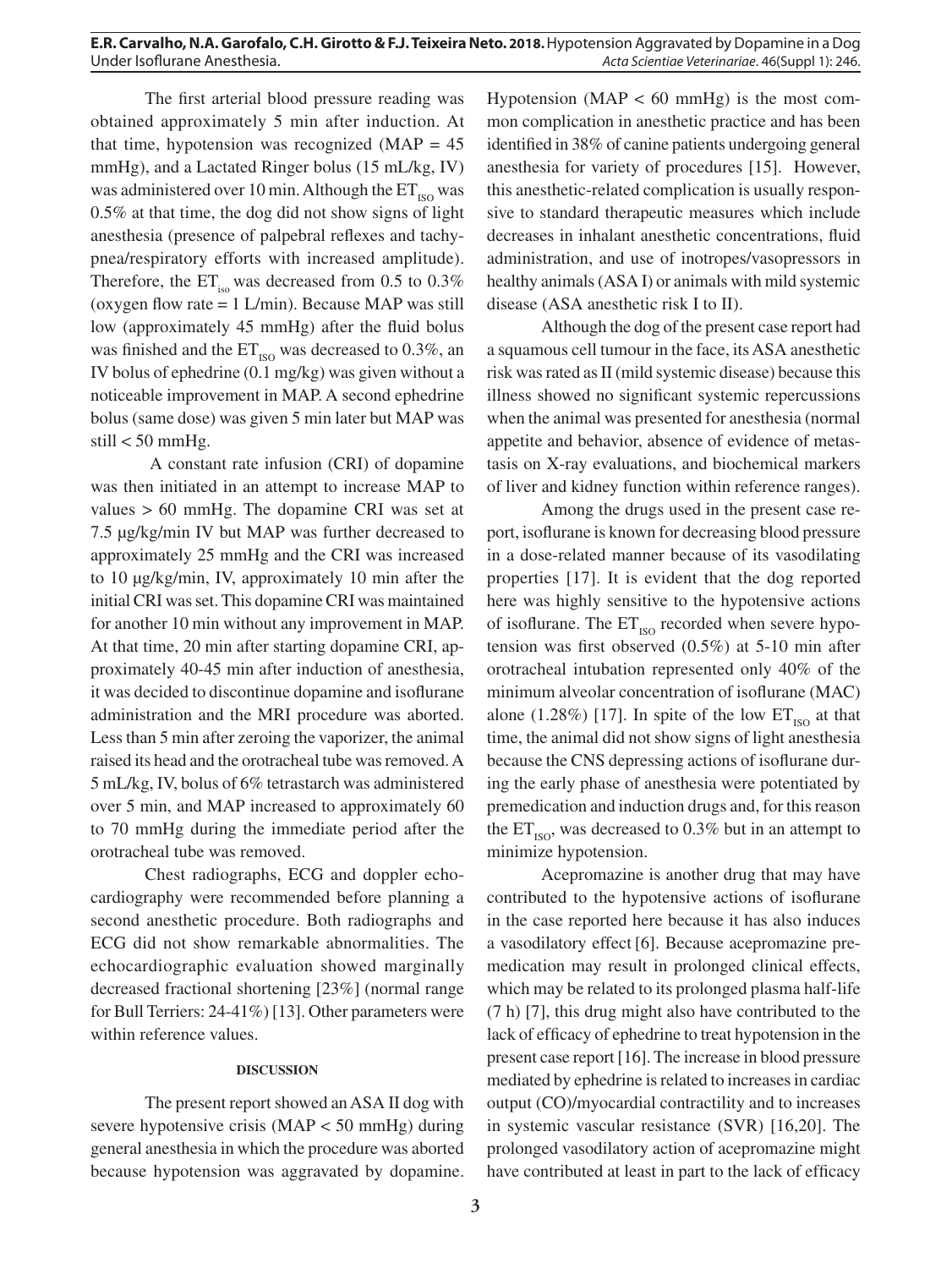The first arterial blood pressure reading was obtained approximately 5 min after induction. At that time, hypotension was recognized  $(MAP = 45)$ mmHg), and a Lactated Ringer bolus (15 mL/kg, IV) was administered over 10 min. Although the  $ET_{\text{iso}}$  was 0.5% at that time, the dog did not show signs of light anesthesia (presence of palpebral reflexes and tachypnea/respiratory efforts with increased amplitude). Therefore, the  $ET_{iso}$  was decreased from 0.5 to 0.3% (oxygen flow rate  $= 1$  L/min). Because MAP was still low (approximately 45 mmHg) after the fluid bolus was finished and the  $ET_{ISO}$  was decreased to 0.3%, an IV bolus of ephedrine (0.1 mg/kg) was given without a noticeable improvement in MAP. A second ephedrine bolus (same dose) was given 5 min later but MAP was still  $<$  50 mmHg.

 A constant rate infusion (CRI) of dopamine was then initiated in an attempt to increase MAP to values > 60 mmHg. The dopamine CRI was set at 7.5 µg/kg/min IV but MAP was further decreased to approximately 25 mmHg and the CRI was increased to 10 µg/kg/min, IV, approximately 10 min after the initial CRI was set. This dopamine CRI was maintained for another 10 min without any improvement in MAP. At that time, 20 min after starting dopamine CRI, approximately 40-45 min after induction of anesthesia, it was decided to discontinue dopamine and isoflurane administration and the MRI procedure was aborted. Less than 5 min after zeroing the vaporizer, the animal raised its head and the orotracheal tube was removed. A 5 mL/kg, IV, bolus of 6% tetrastarch was administered over 5 min, and MAP increased to approximately 60 to 70 mmHg during the immediate period after the orotracheal tube was removed.

Chest radiographs, ECG and doppler echocardiography were recommended before planning a second anesthetic procedure. Both radiographs and ECG did not show remarkable abnormalities. The echocardiographic evaluation showed marginally decreased fractional shortening [23%] (normal range for Bull Terriers: 24-41%) [13]. Other parameters were within reference values.

### **DISCUSSION**

The present report showed an ASA II dog with severe hypotensive crisis (MAP < 50 mmHg) during general anesthesia in which the procedure was aborted because hypotension was aggravated by dopamine. Hypotension ( $MAP < 60$  mmHg) is the most common complication in anesthetic practice and has been identified in 38% of canine patients undergoing general anesthesia for variety of procedures [15]. However, this anesthetic-related complication is usually responsive to standard therapeutic measures which include decreases in inhalant anesthetic concentrations, fluid administration, and use of inotropes/vasopressors in healthy animals (ASA I) or animals with mild systemic disease (ASA anesthetic risk I to II).

Although the dog of the present case report had a squamous cell tumour in the face, its ASA anesthetic risk was rated as II (mild systemic disease) because this illness showed no significant systemic repercussions when the animal was presented for anesthesia (normal appetite and behavior, absence of evidence of metastasis on X-ray evaluations, and biochemical markers of liver and kidney function within reference ranges).

Among the drugs used in the present case report, isoflurane is known for decreasing blood pressure in a dose-related manner because of its vasodilating properties [17]. It is evident that the dog reported here was highly sensitive to the hypotensive actions of isoflurane. The  $ET_{ISO}$  recorded when severe hypotension was first observed (0.5%) at 5-10 min after orotracheal intubation represented only 40% of the minimum alveolar concentration of isoflurane (MAC) alone (1.28%) [17]. In spite of the low  $ET_{ISO}$  at that time, the animal did not show signs of light anesthesia because the CNS depressing actions of isoflurane during the early phase of anesthesia were potentiated by premedication and induction drugs and, for this reason the  $ET_{\text{iso}}$ , was decreased to 0.3% but in an attempt to minimize hypotension.

Acepromazine is another drug that may have contributed to the hypotensive actions of isoflurane in the case reported here because it has also induces a vasodilatory effect [6]. Because acepromazine premedication may result in prolonged clinical effects, which may be related to its prolonged plasma half-life (7 h) [7], this drug might also have contributed to the lack of efficacy of ephedrine to treat hypotension in the present case report [16]. The increase in blood pressure mediated by ephedrine is related to increases in cardiac output (CO)/myocardial contractility and to increases in systemic vascular resistance (SVR) [16,20]. The prolonged vasodilatory action of acepromazine might have contributed at least in part to the lack of efficacy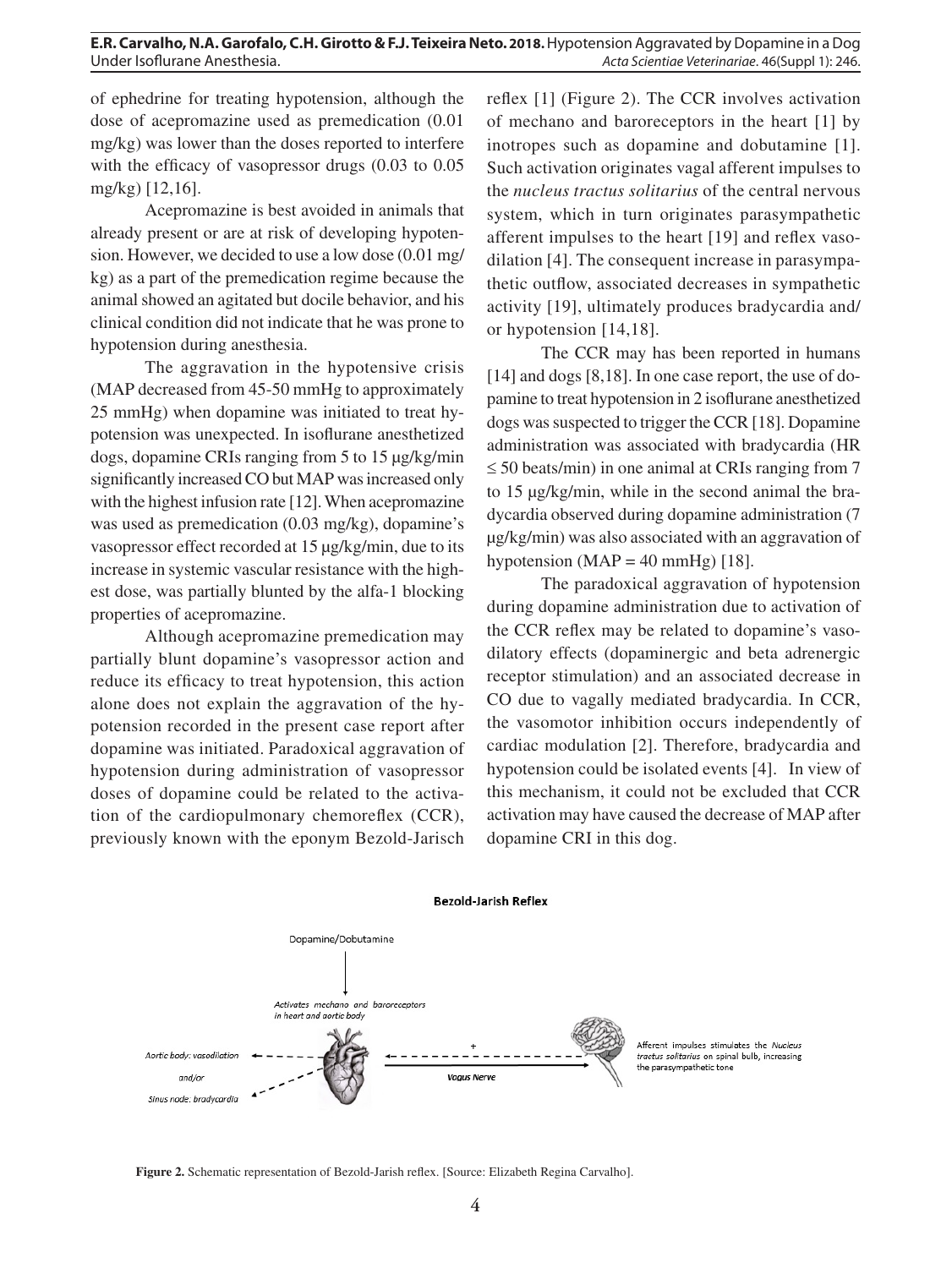of ephedrine for treating hypotension, although the dose of acepromazine used as premedication (0.01 mg/kg) was lower than the doses reported to interfere with the efficacy of vasopressor drugs (0.03 to 0.05 mg/kg) [12,16].

Acepromazine is best avoided in animals that already present or are at risk of developing hypotension. However, we decided to use a low dose (0.01 mg/ kg) as a part of the premedication regime because the animal showed an agitated but docile behavior, and his clinical condition did not indicate that he was prone to hypotension during anesthesia.

The aggravation in the hypotensive crisis (MAP decreased from 45-50 mmHg to approximately 25 mmHg) when dopamine was initiated to treat hypotension was unexpected. In isoflurane anesthetized dogs, dopamine CRIs ranging from 5 to 15 µg/kg/min significantly increased CO but MAP was increased only with the highest infusion rate [12]. When acepromazine was used as premedication (0.03 mg/kg), dopamine's vasopressor effect recorded at 15 µg/kg/min, due to its increase in systemic vascular resistance with the highest dose, was partially blunted by the alfa-1 blocking properties of acepromazine.

Although acepromazine premedication may partially blunt dopamine's vasopressor action and reduce its efficacy to treat hypotension, this action alone does not explain the aggravation of the hypotension recorded in the present case report after dopamine was initiated. Paradoxical aggravation of hypotension during administration of vasopressor doses of dopamine could be related to the activation of the cardiopulmonary chemoreflex (CCR), previously known with the eponym Bezold-Jarisch reflex [1] (Figure 2). The CCR involves activation of mechano and baroreceptors in the heart [1] by inotropes such as dopamine and dobutamine [1]. Such activation originates vagal afferent impulses to the *nucleus tractus solitarius* of the central nervous system, which in turn originates parasympathetic afferent impulses to the heart [19] and reflex vasodilation [4]. The consequent increase in parasympathetic outflow, associated decreases in sympathetic activity [19], ultimately produces bradycardia and/ or hypotension [14,18].

The CCR may has been reported in humans [14] and dogs [8,18]. In one case report, the use of dopamine to treat hypotension in 2 isoflurane anesthetized dogs was suspected to trigger the CCR [18]. Dopamine administration was associated with bradycardia (HR  $\leq$  50 beats/min) in one animal at CRIs ranging from 7 to 15 µg/kg/min, while in the second animal the bradycardia observed during dopamine administration (7 µg/kg/min) was also associated with an aggravation of hypotension (MAP =  $40 \text{ mmHg}$ ) [18].

The paradoxical aggravation of hypotension during dopamine administration due to activation of the CCR reflex may be related to dopamine's vasodilatory effects (dopaminergic and beta adrenergic receptor stimulation) and an associated decrease in CO due to vagally mediated bradycardia. In CCR, the vasomotor inhibition occurs independently of cardiac modulation [2]. Therefore, bradycardia and hypotension could be isolated events [4]. In view of this mechanism, it could not be excluded that CCR activation may have caused the decrease of MAP after dopamine CRI in this dog.



Afferent impulses stimulates the Nucleus tractus solitarius on spinal bulb, increasing the parasympathetic tone

**Figure 2.** Schematic representation of Bezold-Jarish reflex. [Source: Elizabeth Regina Carvalho].

**Bezold-Jarish Reflex**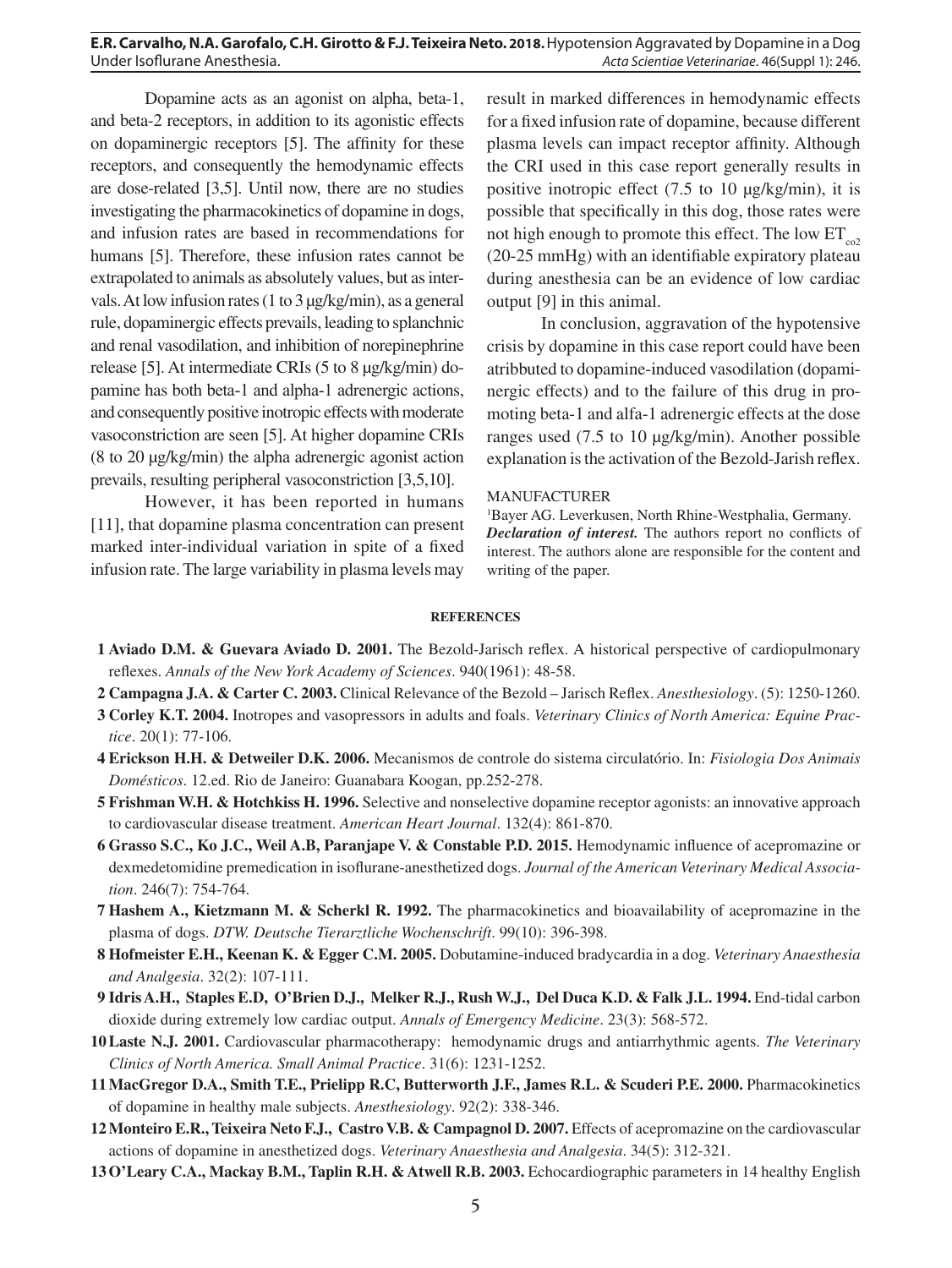#### **E.R. Carvalho, N.A. Garofalo, C.H. Girotto & F.J. Teixeira Neto. 2018.** Hypotension Aggravated by Dopamine in a Dog Under Isoflurane Anesthesia. *Acta Scientiae Veterinariae*. 46(Suppl 1): 246.

Dopamine acts as an agonist on alpha, beta-1, and beta-2 receptors, in addition to its agonistic effects on dopaminergic receptors [5]. The affinity for these receptors, and consequently the hemodynamic effects are dose-related [3,5]. Until now, there are no studies investigating the pharmacokinetics of dopamine in dogs, and infusion rates are based in recommendations for humans [5]. Therefore, these infusion rates cannot be extrapolated to animals as absolutely values, but as intervals. At low infusion rates (1 to 3 µg/kg/min), as a general rule, dopaminergic effects prevails, leading to splanchnic and renal vasodilation, and inhibition of norepinephrine release [5]. At intermediate CRIs (5 to 8 µg/kg/min) dopamine has both beta-1 and alpha-1 adrenergic actions, and consequently positive inotropic effects with moderate vasoconstriction are seen [5]. At higher dopamine CRIs (8 to 20 µg/kg/min) the alpha adrenergic agonist action prevails, resulting peripheral vasoconstriction [3,5,10].

However, it has been reported in humans [11], that dopamine plasma concentration can present marked inter-individual variation in spite of a fixed infusion rate. The large variability in plasma levels may result in marked differences in hemodynamic effects for a fixed infusion rate of dopamine, because different plasma levels can impact receptor affinity. Although the CRI used in this case report generally results in positive inotropic effect (7.5 to 10 µg/kg/min), it is possible that specifically in this dog, those rates were not high enough to promote this effect. The low  $ET_{c2}$ (20-25 mmHg) with an identifiable expiratory plateau during anesthesia can be an evidence of low cardiac output [9] in this animal.

In conclusion, aggravation of the hypotensive crisis by dopamine in this case report could have been atribbuted to dopamine-induced vasodilation (dopaminergic effects) and to the failure of this drug in promoting beta-1 and alfa-1 adrenergic effects at the dose ranges used (7.5 to 10 µg/kg/min). Another possible explanation is the activation of the Bezold-Jarish reflex.

#### MANUFACTURER

1 Bayer AG. Leverkusen, North Rhine-Westphalia, Germany. *Declaration of interest.* The authors report no conflicts of interest. The authors alone are responsible for the content and writing of the paper.

#### **REFERENCES**

- **1 Aviado D.M. & Guevara Aviado D. 2001.** The Bezold-Jarisch reflex. A historical perspective of cardiopulmonary reflexes. *Annals of the New York Academy of Sciences*. 940(1961): 48-58.
- **2 Campagna J.A. & Carter C. 2003.** Clinical Relevance of the Bezold Jarisch Reflex. *Anesthesiology*. (5): 1250-1260.
- **3 Corley K.T. 2004.** Inotropes and vasopressors in adults and foals. *Veterinary Clinics of North America: Equine Practice*. 20(1): 77-106.
- **4 Erickson H.H. & Detweiler D.K. 2006.** Mecanismos de controle do sistema circulatório. In: *Fisiologia Dos Animais Domésticos*. 12.ed. Rio de Janeiro: Guanabara Koogan, pp.252-278.
- **5 Frishman W.H. & Hotchkiss H. 1996.** Selective and nonselective dopamine receptor agonists: an innovative approach to cardiovascular disease treatment. *American Heart Journal*. 132(4): 861-870.
- **6 Grasso S.C., Ko J.C., Weil A.B, Paranjape V. & Constable P.D. 2015.** Hemodynamic influence of acepromazine or dexmedetomidine premedication in isoflurane-anesthetized dogs. *Journal of the American Veterinary Medical Association*. 246(7): 754-764.
- **7 Hashem A., Kietzmann M. & Scherkl R. 1992.** The pharmacokinetics and bioavailability of acepromazine in the plasma of dogs. *DTW. Deutsche Tierarztliche Wochenschrift*. 99(10): 396-398.
- **8 Hofmeister E.H., Keenan K. & Egger C.M. 2005.** Dobutamine-induced bradycardia in a dog. *Veterinary Anaesthesia and Analgesia*. 32(2): 107-111.
- **9 Idris A.H., Staples E.D, O'Brien D.J., Melker R.J., Rush W.J., Del Duca K.D. & Falk J.L. 1994.** End-tidal carbon dioxide during extremely low cardiac output. *Annals of Emergency Medicine*. 23(3): 568-572.
- **10Laste N.J. 2001.** Cardiovascular pharmacotherapy: hemodynamic drugs and antiarrhythmic agents. *The Veterinary Clinics of North America. Small Animal Practice*. 31(6): 1231-1252.
- **11MacGregor D.A., Smith T.E., Prielipp R.C, Butterworth J.F., James R.L. & Scuderi P.E. 2000.** Pharmacokinetics of dopamine in healthy male subjects. *Anesthesiology*. 92(2): 338-346.
- **12Monteiro E.R., Teixeira Neto F.J., Castro V.B. & Campagnol D. 2007.** Effects of acepromazine on the cardiovascular actions of dopamine in anesthetized dogs. *Veterinary Anaesthesia and Analgesia*. 34(5): 312-321.
- **13O'Leary C.A., Mackay B.M., Taplin R.H. & Atwell R.B. 2003.** Echocardiographic parameters in 14 healthy English